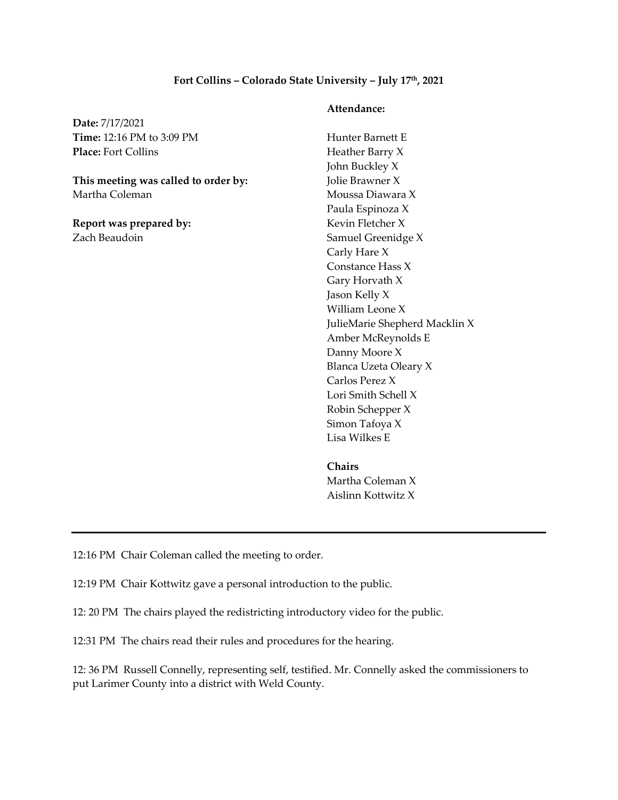## **Fort Collins – Colorado State University – July 17th, 2021**

**Date:** 7/17/2021 **Time:** 12:16 PM to 3:09 PM **Place:** Fort Collins

**This meeting was called to order by:**  Martha Coleman

**Report was prepared by:**  Zach Beaudoin

## **Attendance:**

Hunter Barnett E Heather Barry X John Buckley X Jolie Brawner X Moussa Diawara X Paula Espinoza X Kevin Fletcher X Samuel Greenidge X Carly Hare X Constance Hass X Gary Horvath X Jason Kelly X William Leone X JulieMarie Shepherd Macklin X Amber McReynolds E Danny Moore X Blanca Uzeta Oleary X Carlos Perez X Lori Smith Schell X Robin Schepper X Simon Tafoya X Lisa Wilkes E

**Chairs**  Martha Coleman X Aislinn Kottwitz X

12:16 PM Chair Coleman called the meeting to order.

12:19 PM Chair Kottwitz gave a personal introduction to the public.

12: 20 PM The chairs played the redistricting introductory video for the public.

12:31 PM The chairs read their rules and procedures for the hearing.

12: 36 PM Russell Connelly, representing self, testified. Mr. Connelly asked the commissioners to put Larimer County into a district with Weld County.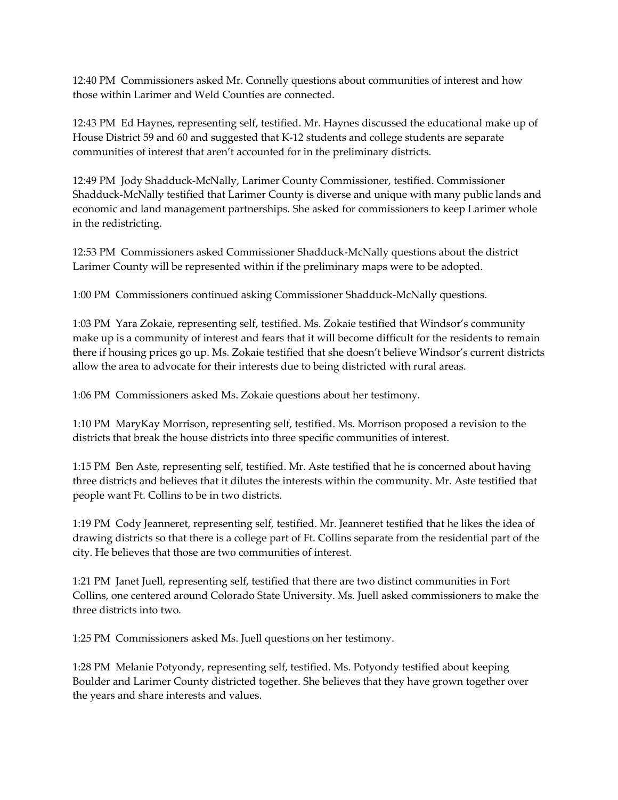12:40 PM Commissioners asked Mr. Connelly questions about communities of interest and how those within Larimer and Weld Counties are connected.

12:43 PM Ed Haynes, representing self, testified. Mr. Haynes discussed the educational make up of House District 59 and 60 and suggested that K-12 students and college students are separate communities of interest that aren't accounted for in the preliminary districts.

12:49 PM Jody Shadduck-McNally, Larimer County Commissioner, testified. Commissioner Shadduck-McNally testified that Larimer County is diverse and unique with many public lands and economic and land management partnerships. She asked for commissioners to keep Larimer whole in the redistricting.

12:53 PM Commissioners asked Commissioner Shadduck-McNally questions about the district Larimer County will be represented within if the preliminary maps were to be adopted.

1:00 PM Commissioners continued asking Commissioner Shadduck-McNally questions.

1:03 PM Yara Zokaie, representing self, testified. Ms. Zokaie testified that Windsor's community make up is a community of interest and fears that it will become difficult for the residents to remain there if housing prices go up. Ms. Zokaie testified that she doesn't believe Windsor's current districts allow the area to advocate for their interests due to being districted with rural areas.

1:06 PM Commissioners asked Ms. Zokaie questions about her testimony.

1:10 PM MaryKay Morrison, representing self, testified. Ms. Morrison proposed a revision to the districts that break the house districts into three specific communities of interest.

1:15 PM Ben Aste, representing self, testified. Mr. Aste testified that he is concerned about having three districts and believes that it dilutes the interests within the community. Mr. Aste testified that people want Ft. Collins to be in two districts.

1:19 PM Cody Jeanneret, representing self, testified. Mr. Jeanneret testified that he likes the idea of drawing districts so that there is a college part of Ft. Collins separate from the residential part of the city. He believes that those are two communities of interest.

1:21 PM Janet Juell, representing self, testified that there are two distinct communities in Fort Collins, one centered around Colorado State University. Ms. Juell asked commissioners to make the three districts into two.

1:25 PM Commissioners asked Ms. Juell questions on her testimony.

1:28 PM Melanie Potyondy, representing self, testified. Ms. Potyondy testified about keeping Boulder and Larimer County districted together. She believes that they have grown together over the years and share interests and values.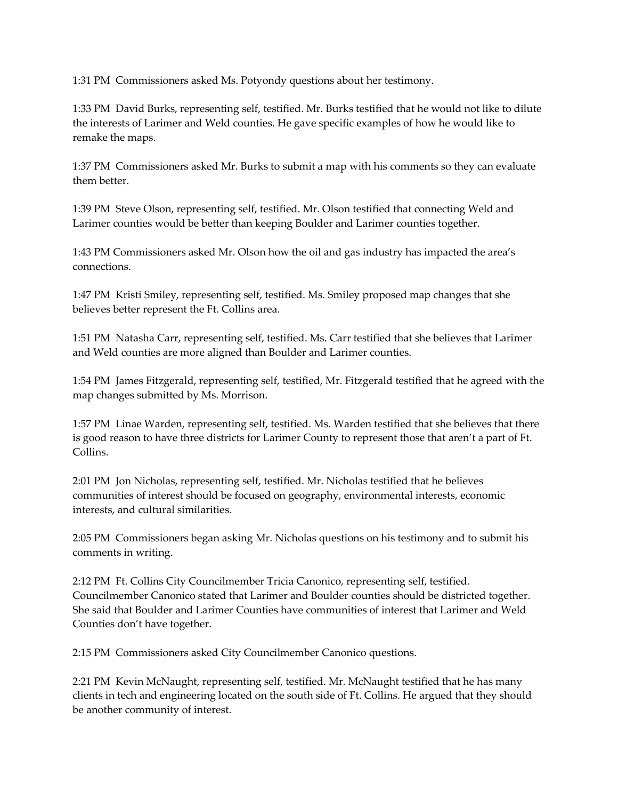1:31 PM Commissioners asked Ms. Potyondy questions about her testimony.

1:33 PM David Burks, representing self, testified. Mr. Burks testified that he would not like to dilute the interests of Larimer and Weld counties. He gave specific examples of how he would like to remake the maps.

1:37 PM Commissioners asked Mr. Burks to submit a map with his comments so they can evaluate them better.

1:39 PM Steve Olson, representing self, testified. Mr. Olson testified that connecting Weld and Larimer counties would be better than keeping Boulder and Larimer counties together.

1:43 PM Commissioners asked Mr. Olson how the oil and gas industry has impacted the area's connections.

1:47 PM Kristi Smiley, representing self, testified. Ms. Smiley proposed map changes that she believes better represent the Ft. Collins area.

1:51 PM Natasha Carr, representing self, testified. Ms. Carr testified that she believes that Larimer and Weld counties are more aligned than Boulder and Larimer counties.

1:54 PM James Fitzgerald, representing self, testified, Mr. Fitzgerald testified that he agreed with the map changes submitted by Ms. Morrison.

1:57 PM Linae Warden, representing self, testified. Ms. Warden testified that she believes that there is good reason to have three districts for Larimer County to represent those that aren't a part of Ft. Collins.

2:01 PM Jon Nicholas, representing self, testified. Mr. Nicholas testified that he believes communities of interest should be focused on geography, environmental interests, economic interests, and cultural similarities.

2:05 PM Commissioners began asking Mr. Nicholas questions on his testimony and to submit his comments in writing.

2:12 PM Ft. Collins City Councilmember Tricia Canonico, representing self, testified. Councilmember Canonico stated that Larimer and Boulder counties should be districted together. She said that Boulder and Larimer Counties have communities of interest that Larimer and Weld Counties don't have together.

2:15 PM Commissioners asked City Councilmember Canonico questions.

2:21 PM Kevin McNaught, representing self, testified. Mr. McNaught testified that he has many clients in tech and engineering located on the south side of Ft. Collins. He argued that they should be another community of interest.